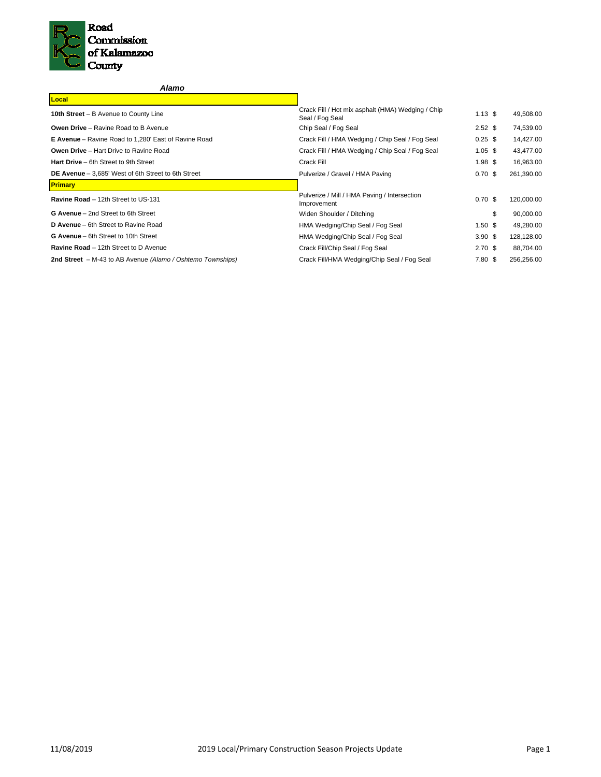

| Alamo                                                       |                                                                      |                   |            |
|-------------------------------------------------------------|----------------------------------------------------------------------|-------------------|------------|
| Local                                                       |                                                                      |                   |            |
| 10th Street - B Avenue to County Line                       | Crack Fill / Hot mix asphalt (HMA) Wedging / Chip<br>Seal / Fog Seal | $1.13$ \$         | 49,508.00  |
| <b>Owen Drive</b> – Ravine Road to B Avenue                 | Chip Seal / Fog Seal                                                 | $2.52$ \$         | 74,539.00  |
| <b>E Avenue</b> – Ravine Road to 1,280' East of Ravine Road | Crack Fill / HMA Wedging / Chip Seal / Fog Seal                      | $0.25$ \$         | 14,427.00  |
| <b>Owen Drive - Hart Drive to Ravine Road</b>               | Crack Fill / HMA Wedging / Chip Seal / Fog Seal                      | $1.05$ \$         | 43,477.00  |
| Hart Drive - 6th Street to 9th Street                       | Crack Fill                                                           | $1.98$ \$         | 16,963.00  |
| DE Avenue - 3,685' West of 6th Street to 6th Street         | Pulverize / Gravel / HMA Paving                                      | 0.70~\$           | 261,390.00 |
| <b>Primary</b>                                              |                                                                      |                   |            |
| Ravine Road - 12th Street to US-131                         | Pulverize / Mill / HMA Paving / Intersection<br>Improvement          | $0.70~{\rm \AA}$  | 120,000.00 |
| G Avenue - 2nd Street to 6th Street                         | Widen Shoulder / Ditching                                            | \$                | 90,000.00  |
| <b>D Avenue</b> – 6th Street to Ravine Road                 | HMA Wedging/Chip Seal / Fog Seal                                     | 1.50 <sup>5</sup> | 49,280.00  |
| G Avenue - 6th Street to 10th Street                        | HMA Wedging/Chip Seal / Fog Seal                                     | 3.90 <sup>5</sup> | 128,128.00 |
| <b>Ravine Road</b> – 12th Street to D Avenue                | Crack Fill/Chip Seal / Fog Seal                                      | 2.70 <sup>5</sup> | 88,704.00  |
| 2nd Street - M-43 to AB Avenue (Alamo / Oshtemo Townships)  | Crack Fill/HMA Wedging/Chip Seal / Fog Seal                          | 7.80~\$           | 256,256.00 |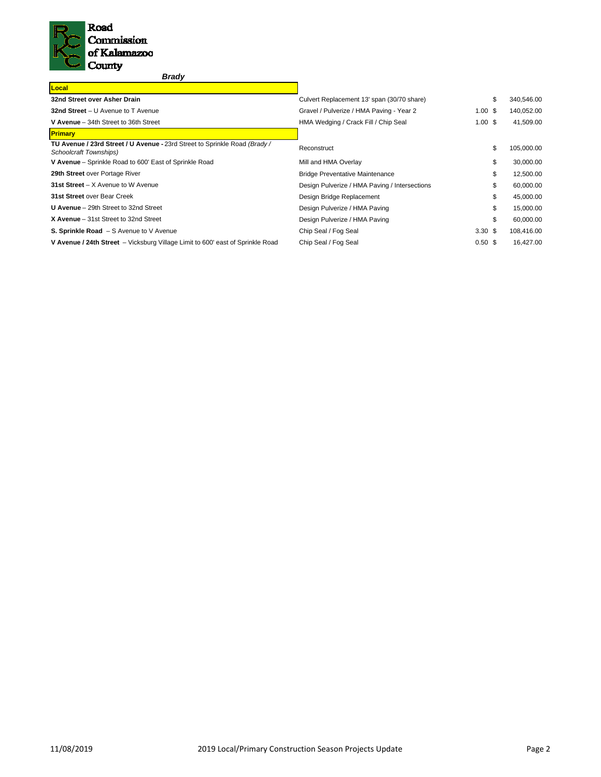

*Brady*

| Culvert Replacement 13' span (30/70 share)    | \$ | 340,546.00                                               |
|-----------------------------------------------|----|----------------------------------------------------------|
| Gravel / Pulverize / HMA Paving - Year 2      |    | 140,052.00                                               |
| HMA Wedging / Crack Fill / Chip Seal          |    | 41,509.00                                                |
|                                               |    |                                                          |
| Reconstruct                                   | \$ | 105,000.00                                               |
| Mill and HMA Overlay                          | \$ | 30,000.00                                                |
| <b>Bridge Preventative Maintenance</b>        | \$ | 12,500.00                                                |
| Design Pulverize / HMA Paving / Intersections | \$ | 60,000.00                                                |
| Design Bridge Replacement                     | \$ | 45,000.00                                                |
| Design Pulverize / HMA Paving                 | \$ | 15,000.00                                                |
| Design Pulverize / HMA Paving                 | \$ | 60,000.00                                                |
| Chip Seal / Fog Seal                          |    | 108,416.00                                               |
| Chip Seal / Fog Seal                          |    | 16,427.00                                                |
|                                               |    | 1.00S<br>1.00S<br>3.30 <sup>5</sup><br>0.50 <sup>5</sup> |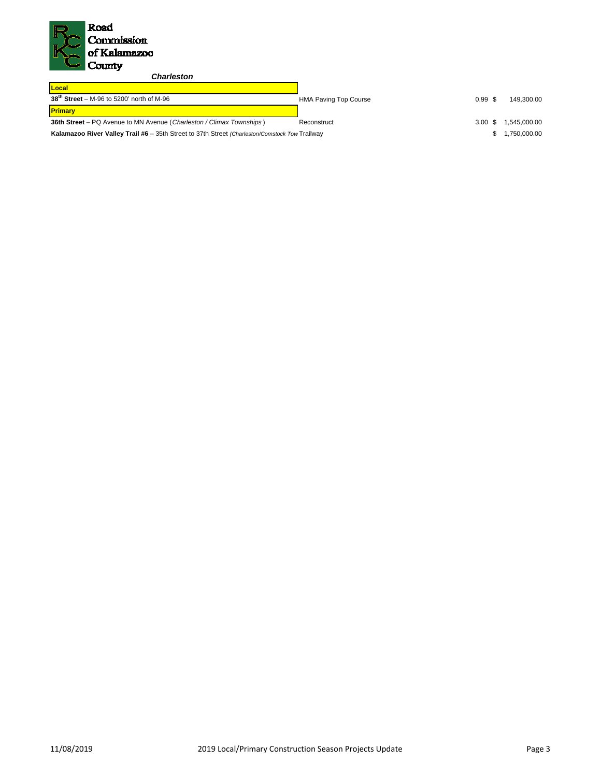

*Charleston* 

| Local                                                                                          |                              |       |              |
|------------------------------------------------------------------------------------------------|------------------------------|-------|--------------|
| $38th$ Street – M-96 to 5200' north of M-96                                                    | <b>HMA Paving Top Course</b> | 0.99S | 149.300.00   |
| <b>Primary</b>                                                                                 |                              |       |              |
| <b>36th Street</b> – PQ Avenue to MN Avenue (Charleston / Climax Townships)                    | Reconstruct                  | 3.00S | 1,545,000.00 |
| Kalamazoo River Valley Trail #6 - 35th Street to 37th Street (Charleston/Comstock Tow Trailway |                              |       | 1.750.000.00 |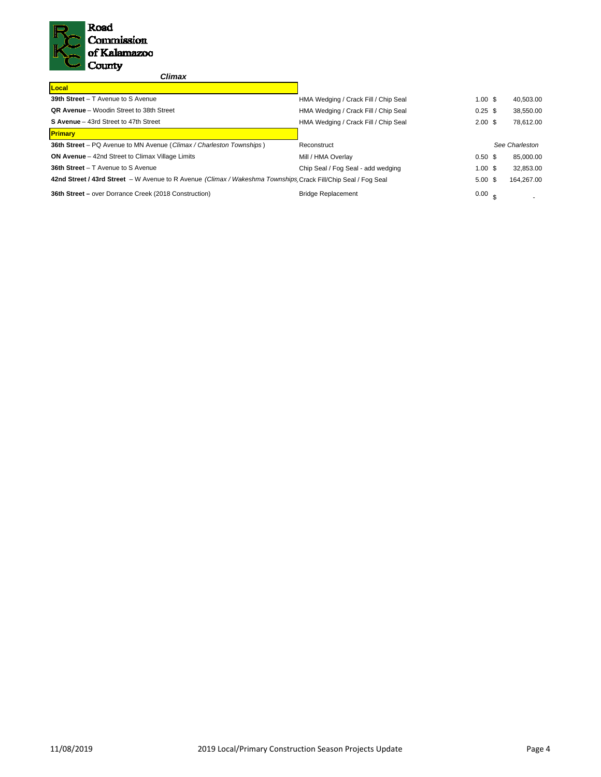

# *Climax*

| Local                                                                                                         |                                      |                    |                |
|---------------------------------------------------------------------------------------------------------------|--------------------------------------|--------------------|----------------|
| 39th Street - T Avenue to S Avenue                                                                            | HMA Wedging / Crack Fill / Chip Seal | 1.00S              | 40,503.00      |
| <b>QR Avenue</b> – Woodin Street to 38th Street                                                               | HMA Wedging / Crack Fill / Chip Seal | $0.25$ \$          | 38,550.00      |
| S Avenue - 43rd Street to 47th Street                                                                         | HMA Wedging / Crack Fill / Chip Seal | $2.00 \text{ }$ \$ | 78.612.00      |
| <b>Primary</b>                                                                                                |                                      |                    |                |
| <b>36th Street</b> – PQ Avenue to MN Avenue (Climax / Charleston Townships)                                   | Reconstruct                          |                    | See Charleston |
| <b>ON Avenue</b> – 42nd Street to Climax Village Limits                                                       | Mill / HMA Overlay                   | 0.50 <sup>5</sup>  | 85,000.00      |
| <b>36th Street - T</b> Avenue to S Avenue                                                                     | Chip Seal / Fog Seal - add wedging   | 1.00S              | 32,853.00      |
| 42nd Street / 43rd Street - W Avenue to R Avenue (Climax / Wakeshma Townships Crack Fill/Chip Seal / Fog Seal |                                      | $5.00 \text{ }$ \$ | 164.267.00     |
| <b>36th Street – over Dorrance Creek (2018 Construction)</b>                                                  | <b>Bridge Replacement</b>            | 0.00 <sub>e</sub>  |                |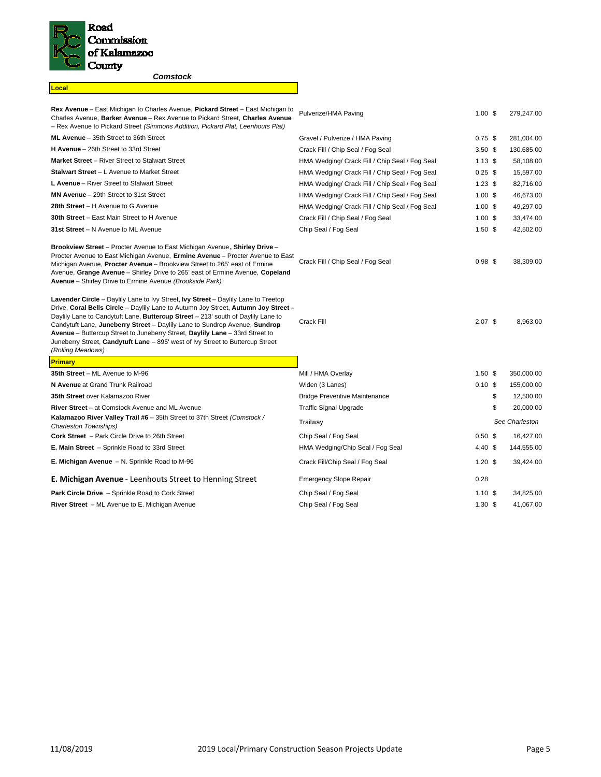

**Local**

 $\overline{\phantom{a}}$ 

*Comstock* 

| <b>Rex Avenue</b> – East Michigan to Charles Avenue, Pickard Street – East Michigan to<br>Charles Avenue, Barker Avenue - Rex Avenue to Pickard Street, Charles Avenue<br>- Rex Avenue to Pickard Street (Simmons Addition, Pickard Plat, Leenhouts Plat)                                                                                                                                                                                                                                                                                | Pulverize/HMA Paving                           | $1.00$ \$         | 279,247.00      |
|------------------------------------------------------------------------------------------------------------------------------------------------------------------------------------------------------------------------------------------------------------------------------------------------------------------------------------------------------------------------------------------------------------------------------------------------------------------------------------------------------------------------------------------|------------------------------------------------|-------------------|-----------------|
| ML Avenue - 35th Street to 36th Street                                                                                                                                                                                                                                                                                                                                                                                                                                                                                                   | Gravel / Pulverize / HMA Paving                | $0.75$ \$         | 281,004.00      |
| <b>H Avenue</b> - 26th Street to 33rd Street                                                                                                                                                                                                                                                                                                                                                                                                                                                                                             | Crack Fill / Chip Seal / Fog Seal              | 3.50 <sup>5</sup> | 130,685.00      |
| <b>Market Street</b> – River Street to Stalwart Street                                                                                                                                                                                                                                                                                                                                                                                                                                                                                   | HMA Wedging/ Crack Fill / Chip Seal / Fog Seal | $1.13$ \$         | 58,108.00       |
| <b>Stalwart Street - L</b> Avenue to Market Street                                                                                                                                                                                                                                                                                                                                                                                                                                                                                       | HMA Wedging/ Crack Fill / Chip Seal / Fog Seal | $0.25$ \$         | 15,597.00       |
| L Avenue - River Street to Stalwart Street                                                                                                                                                                                                                                                                                                                                                                                                                                                                                               | HMA Wedging/ Crack Fill / Chip Seal / Fog Seal | $1.23$ \$         | 82,716.00       |
| MN Avenue - 29th Street to 31st Street                                                                                                                                                                                                                                                                                                                                                                                                                                                                                                   | HMA Wedging/ Crack Fill / Chip Seal / Fog Seal | $1.00$ \$         | 46,673.00       |
| 28th Street - H Avenue to G Avenue                                                                                                                                                                                                                                                                                                                                                                                                                                                                                                       | HMA Wedging/ Crack Fill / Chip Seal / Fog Seal | $1.00$ \$         | 49,297.00       |
| <b>30th Street</b> – East Main Street to H Avenue                                                                                                                                                                                                                                                                                                                                                                                                                                                                                        | Crack Fill / Chip Seal / Fog Seal              | $1.00$ \$         | 33,474.00       |
| 31st Street - N Avenue to ML Avenue                                                                                                                                                                                                                                                                                                                                                                                                                                                                                                      | Chip Seal / Fog Seal                           | $1.50$ \$         | 42,502.00       |
| <b>Brookview Street</b> – Procter Avenue to East Michigan Avenue, Shirley Drive –<br>Procter Avenue to East Michigan Avenue, Ermine Avenue - Procter Avenue to East<br>Michigan Avenue, Procter Avenue - Brookview Street to 265' east of Ermine<br>Avenue, Grange Avenue - Shirley Drive to 265' east of Ermine Avenue, Copeland<br>Avenue - Shirley Drive to Ermine Avenue (Brookside Park)                                                                                                                                            | Crack Fill / Chip Seal / Fog Seal              | $0.98$ \$         | 38,309.00       |
| <b>Lavender Circle</b> – Daylily Lane to Ivy Street, Ivy Street – Daylily Lane to Treetop<br>Drive, Coral Bells Circle - Daylily Lane to Autumn Joy Street, Autumn Joy Street -<br>Daylily Lane to Candytuft Lane, Buttercup Street - 213' south of Daylily Lane to<br>Candytuft Lane, Juneberry Street - Daylily Lane to Sundrop Avenue, Sundrop<br>Avenue – Buttercup Street to Juneberry Street, Daylily Lane – 33rd Street to<br>Juneberry Street, Candytuft Lane - 895' west of Ivy Street to Buttercup Street<br>(Rolling Meadows) | Crack Fill                                     | $2.07$ \$         | 8,963.00        |
| <b>Primary</b>                                                                                                                                                                                                                                                                                                                                                                                                                                                                                                                           |                                                |                   |                 |
| 35th Street - ML Avenue to M-96                                                                                                                                                                                                                                                                                                                                                                                                                                                                                                          | Mill / HMA Overlay                             | $1.50$ \$         | 350,000.00      |
| N Avenue at Grand Trunk Railroad                                                                                                                                                                                                                                                                                                                                                                                                                                                                                                         | Widen (3 Lanes)                                | $0.10$ \$         | 155,000.00      |
| 35th Street over Kalamazoo River                                                                                                                                                                                                                                                                                                                                                                                                                                                                                                         | <b>Bridge Preventive Maintenance</b>           |                   | \$<br>12,500.00 |
| River Street - at Comstock Avenue and ML Avenue                                                                                                                                                                                                                                                                                                                                                                                                                                                                                          | <b>Traffic Signal Upgrade</b>                  |                   | \$<br>20,000.00 |
| Kalamazoo River Valley Trail #6 - 35th Street to 37th Street (Comstock /<br>Charleston Townships)                                                                                                                                                                                                                                                                                                                                                                                                                                        | Trailway                                       |                   | See Charleston  |
| <b>Cork Street</b> - Park Circle Drive to 26th Street                                                                                                                                                                                                                                                                                                                                                                                                                                                                                    | Chip Seal / Fog Seal                           | 0.50~\$           | 16,427.00       |
| E. Main Street - Sprinkle Road to 33rd Street                                                                                                                                                                                                                                                                                                                                                                                                                                                                                            | HMA Wedging/Chip Seal / Fog Seal               | $4.40~\text{\AA}$ | 144,555.00      |
| <b>E. Michigan Avenue</b> - N. Sprinkle Road to M-96                                                                                                                                                                                                                                                                                                                                                                                                                                                                                     | Crack Fill/Chip Seal / Fog Seal                | $1.20$ \$         | 39,424.00       |
| E. Michigan Avenue - Leenhouts Street to Henning Street                                                                                                                                                                                                                                                                                                                                                                                                                                                                                  | <b>Emergency Slope Repair</b>                  | 0.28              |                 |
| <b>Park Circle Drive</b> - Sprinkle Road to Cork Street                                                                                                                                                                                                                                                                                                                                                                                                                                                                                  | Chip Seal / Fog Seal                           | 1.10 <sup>5</sup> | 34,825.00       |
| River Street - ML Avenue to E. Michigan Avenue                                                                                                                                                                                                                                                                                                                                                                                                                                                                                           | Chip Seal / Fog Seal                           | 1.30 <sup>5</sup> | 41,067.00       |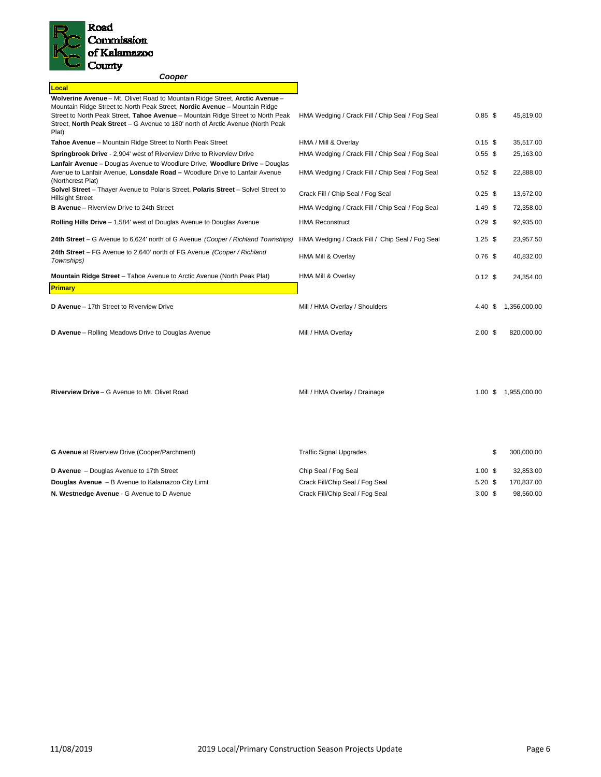

| Cooper                                                                                                                                                                                                                                                                                                                                    |                                                 |                    |              |
|-------------------------------------------------------------------------------------------------------------------------------------------------------------------------------------------------------------------------------------------------------------------------------------------------------------------------------------------|-------------------------------------------------|--------------------|--------------|
| Local                                                                                                                                                                                                                                                                                                                                     |                                                 |                    |              |
| Wolverine Avenue - Mt. Olivet Road to Mountain Ridge Street, Arctic Avenue -<br>Mountain Ridge Street to North Peak Street, Nordic Avenue - Mountain Ridge<br>Street to North Peak Street, Tahoe Avenue - Mountain Ridge Street to North Peak<br>Street, North Peak Street - G Avenue to 180' north of Arctic Avenue (North Peak<br>Plat) | HMA Wedging / Crack Fill / Chip Seal / Fog Seal | $0.85$ \$          | 45,819.00    |
| Tahoe Avenue - Mountain Ridge Street to North Peak Street                                                                                                                                                                                                                                                                                 | HMA / Mill & Overlay                            | $0.15$ \$          | 35.517.00    |
| <b>Springbrook Drive - 2,904' west of Riverview Drive to Riverview Drive</b>                                                                                                                                                                                                                                                              | HMA Wedging / Crack Fill / Chip Seal / Fog Seal | $0.55$ \$          | 25,163.00    |
| Lanfair Avenue - Douglas Avenue to Woodlure Drive, Woodlure Drive - Douglas<br>Avenue to Lanfair Avenue, Lonsdale Road - Woodlure Drive to Lanfair Avenue<br>(Northcrest Plat)                                                                                                                                                            | HMA Wedging / Crack Fill / Chip Seal / Fog Seal | $0.52$ \$          | 22,888.00    |
| Solvel Street - Thayer Avenue to Polaris Street, Polaris Street - Solvel Street to<br><b>Hillsight Street</b>                                                                                                                                                                                                                             | Crack Fill / Chip Seal / Fog Seal               | $0.25$ \$          | 13,672.00    |
| <b>B Avenue</b> – Riverview Drive to 24th Street                                                                                                                                                                                                                                                                                          | HMA Wedging / Crack Fill / Chip Seal / Fog Seal | $1.49$ \$          | 72,358.00    |
| Rolling Hills Drive - 1,584' west of Douglas Avenue to Douglas Avenue                                                                                                                                                                                                                                                                     | <b>HMA Reconstruct</b>                          | $0.29$ \$          | 92,935.00    |
| 24th Street - G Avenue to 6,624' north of G Avenue (Cooper / Richland Townships)                                                                                                                                                                                                                                                          | HMA Wedging / Crack Fill / Chip Seal / Fog Seal | $1.25$ \$          | 23,957.50    |
| 24th Street - FG Avenue to 2,640' north of FG Avenue (Cooper / Richland<br>Townships)                                                                                                                                                                                                                                                     | HMA Mill & Overlay                              | $0.76$ \$          | 40,832.00    |
| Mountain Ridge Street - Tahoe Avenue to Arctic Avenue (North Peak Plat)                                                                                                                                                                                                                                                                   | HMA Mill & Overlay                              | $0.12$ \$          | 24,354.00    |
| <b>Primary</b>                                                                                                                                                                                                                                                                                                                            |                                                 |                    |              |
| D Avenue - 17th Street to Riverview Drive                                                                                                                                                                                                                                                                                                 | Mill / HMA Overlay / Shoulders                  | 4.40 S             | 1.356.000.00 |
| D Avenue - Rolling Meadows Drive to Douglas Avenue                                                                                                                                                                                                                                                                                        | Mill / HMA Overlay                              | $2.00 \text{ }$ \$ | 820,000.00   |
| Riverview Drive - G Avenue to Mt. Olivet Road                                                                                                                                                                                                                                                                                             | Mill / HMA Overlay / Drainage                   | 1.00 S             | 1.955.000.00 |

| <b>G Avenue</b> at Riverview Drive (Cooper/Parchment)    | <b>Traffic Signal Upgrades</b>  |                    | 300.000.00 |
|----------------------------------------------------------|---------------------------------|--------------------|------------|
| D Avenue - Douglas Avenue to 17th Street                 | Chip Seal / Fog Seal            | $1.00 \text{ }$ \$ | 32.853.00  |
| <b>Douglas Avenue</b> - B Avenue to Kalamazoo City Limit | Crack Fill/Chip Seal / Fog Seal | $5.20$ \$          | 170.837.00 |
| N. Westnedge Avenue - G Avenue to D Avenue               | Crack Fill/Chip Seal / Fog Seal | $3.00 \text{ }$ \$ | 98.560.00  |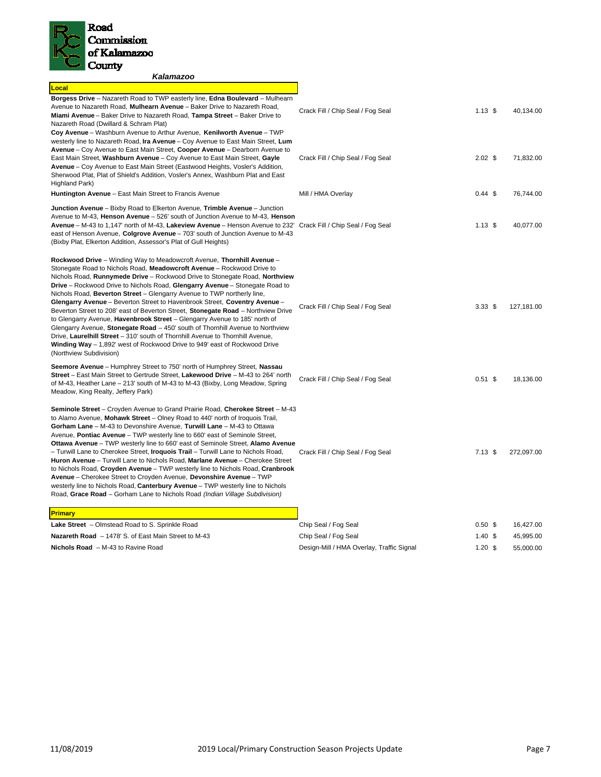

| Kalamazoo                                                                                                                                                                                                                                                                                                                                                                                                                                                                                                                                                                                                                                                                                                                                                                                                                                                                                                                              |                                           |                   |            |
|----------------------------------------------------------------------------------------------------------------------------------------------------------------------------------------------------------------------------------------------------------------------------------------------------------------------------------------------------------------------------------------------------------------------------------------------------------------------------------------------------------------------------------------------------------------------------------------------------------------------------------------------------------------------------------------------------------------------------------------------------------------------------------------------------------------------------------------------------------------------------------------------------------------------------------------|-------------------------------------------|-------------------|------------|
| Local                                                                                                                                                                                                                                                                                                                                                                                                                                                                                                                                                                                                                                                                                                                                                                                                                                                                                                                                  |                                           |                   |            |
| Borgess Drive - Nazareth Road to TWP easterly line, Edna Boulevard - Mulhearn<br>Avenue to Nazareth Road, Mulhearn Avenue - Baker Drive to Nazareth Road,<br>Miami Avenue – Baker Drive to Nazareth Road, Tampa Street – Baker Drive to<br>Nazareth Road (Dwillard & Schram Plat)<br>Coy Avenue – Washburn Avenue to Arthur Avenue, Kenilworth Avenue – TWP                                                                                                                                                                                                                                                                                                                                                                                                                                                                                                                                                                            | Crack Fill / Chip Seal / Fog Seal         | $1.13$ \$         | 40,134.00  |
| westerly line to Nazareth Road, Ira Avenue - Coy Avenue to East Main Street, Lum<br>Avenue – Coy Avenue to East Main Street, Cooper Avenue – Dearborn Avenue to<br>East Main Street, Washburn Avenue – Coy Avenue to East Main Street, Gayle<br>Avenue - Coy Avenue to East Main Street (Eastwood Heights, Vosler's Addition,<br>Sherwood Plat, Plat of Shield's Addition, Vosler's Annex, Washburn Plat and East<br>Highland Park)                                                                                                                                                                                                                                                                                                                                                                                                                                                                                                    | Crack Fill / Chip Seal / Fog Seal         | $2.02$ \$         | 71,832.00  |
| Huntington Avenue - East Main Street to Francis Avenue                                                                                                                                                                                                                                                                                                                                                                                                                                                                                                                                                                                                                                                                                                                                                                                                                                                                                 | Mill / HMA Overlay                        | $0.44 \text{ } $$ | 76,744.00  |
| Junction Avenue - Bixby Road to Elkerton Avenue, Trimble Avenue - Junction<br>Avenue to M-43, Henson Avenue – 526' south of Junction Avenue to M-43, Henson<br>Avenue - M-43 to 1,147' north of M-43, Lakeview Avenue - Henson Avenue to 232' Crack Fill / Chip Seal / Fog Seal<br>east of Henson Avenue, Colgrove Avenue - 703' south of Junction Avenue to M-43<br>(Bixby Plat, Elkerton Addition, Assessor's Plat of Gull Heights)                                                                                                                                                                                                                                                                                                                                                                                                                                                                                                  |                                           | $1.13$ \$         | 40,077.00  |
| Rockwood Drive - Winding Way to Meadowcroft Avenue, Thornhill Avenue -<br>Stonegate Road to Nichols Road, Meadowcroft Avenue - Rockwood Drive to<br>Nichols Road, Runnymede Drive - Rockwood Drive to Stonegate Road, Northview<br><b>Drive</b> – Rockwood Drive to Nichols Road, Glengarry Avenue – Stonegate Road to<br>Nichols Road, Beverton Street - Glengarry Avenue to TWP northerly line,<br>Glengarry Avenue - Beverton Street to Havenbrook Street, Coventry Avenue -<br>Beverton Street to 208' east of Beverton Street, <b>Stonegate Road</b> – Northview Drive<br>to Glengarry Avenue, Havenbrook Street - Glengarry Avenue to 185' north of<br>Glengarry Avenue, Stonegate Road - 450' south of Thornhill Avenue to Northview<br>Drive, Laurelhill Street - 310' south of Thornhill Avenue to Thornhill Avenue,<br>Winding Way - 1,892' west of Rockwood Drive to 949' east of Rockwood Drive<br>(Northview Subdivision) | Crack Fill / Chip Seal / Fog Seal         | 3.33 <sup>5</sup> | 127,181.00 |
| Seemore Avenue - Humphrey Street to 750' north of Humphrey Street, Nassau<br>Street - East Main Street to Gertrude Street, Lakewood Drive - M-43 to 264' north<br>of M-43, Heather Lane – 213' south of M-43 to M-43 (Bixby, Long Meadow, Spring<br>Meadow, King Realty, Jeffery Park)                                                                                                                                                                                                                                                                                                                                                                                                                                                                                                                                                                                                                                                 | Crack Fill / Chip Seal / Fog Seal         | $0.51$ \$         | 18,136.00  |
| <b>Seminole Street</b> – Croyden Avenue to Grand Prairie Road, Cherokee Street – M-43<br>to Alamo Avenue, Mohawk Street - Olney Road to 440' north of Iroquois Trail,<br>Gorham Lane - M-43 to Devonshire Avenue, Turwill Lane - M-43 to Ottawa<br>Avenue, Pontiac Avenue - TWP westerly line to 660' east of Seminole Street,<br>Ottawa Avenue - TWP westerly line to 660' east of Seminole Street, Alamo Avenue<br>- Turwill Lane to Cherokee Street, <b>Iroquois Trail</b> - Turwill Lane to Nichols Road,<br>Huron Avenue – Turwill Lane to Nichols Road, Marlane Avenue – Cherokee Street<br>to Nichols Road, Croyden Avenue - TWP westerly line to Nichols Road, Cranbrook<br>Avenue - Cherokee Street to Croyden Avenue, Devonshire Avenue - TWP<br>westerly line to Nichols Road, Canterbury Avenue - TWP westerly line to Nichols<br>Road, Grace Road - Gorham Lane to Nichols Road (Indian Village Subdivision)              | Crack Fill / Chip Seal / Fog Seal         | $7.13$ \$         | 272,097.00 |
| Primary                                                                                                                                                                                                                                                                                                                                                                                                                                                                                                                                                                                                                                                                                                                                                                                                                                                                                                                                |                                           |                   |            |
| Lake Street - Olmstead Road to S. Sprinkle Road                                                                                                                                                                                                                                                                                                                                                                                                                                                                                                                                                                                                                                                                                                                                                                                                                                                                                        | Chip Seal / Fog Seal                      | 0.50 <sup>5</sup> | 16,427.00  |
| Nazareth Road - 1478' S. of East Main Street to M-43                                                                                                                                                                                                                                                                                                                                                                                                                                                                                                                                                                                                                                                                                                                                                                                                                                                                                   | Chip Seal / Fog Seal                      | $1.40~{\rm \AA}$  | 45,995.00  |
| Nichols Road - M-43 to Ravine Road                                                                                                                                                                                                                                                                                                                                                                                                                                                                                                                                                                                                                                                                                                                                                                                                                                                                                                     | Design-Mill / HMA Overlay, Traffic Signal | $1.20$ \$         | 55,000.00  |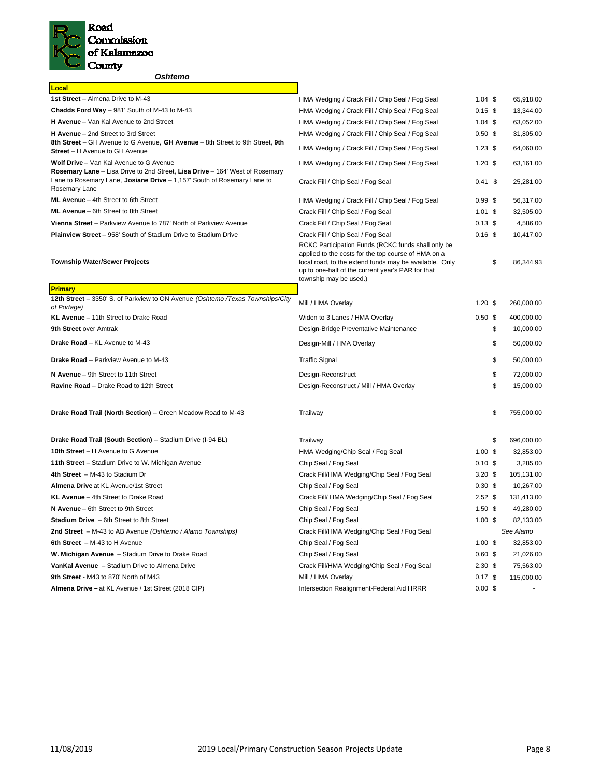

## *Oshtemo*

| Local                                                                                                                                                                    |                                                                                                                                                                                                                                                    |                   |                  |
|--------------------------------------------------------------------------------------------------------------------------------------------------------------------------|----------------------------------------------------------------------------------------------------------------------------------------------------------------------------------------------------------------------------------------------------|-------------------|------------------|
| 1st Street - Almena Drive to M-43                                                                                                                                        | HMA Wedging / Crack Fill / Chip Seal / Fog Seal                                                                                                                                                                                                    | $1.04$ \$         | 65,918.00        |
| Chadds Ford Way - 981' South of M-43 to M-43                                                                                                                             | HMA Wedging / Crack Fill / Chip Seal / Fog Seal                                                                                                                                                                                                    | $0.15$ \$         | 13,344.00        |
| H Avenue - Van Kal Avenue to 2nd Street                                                                                                                                  | HMA Wedging / Crack Fill / Chip Seal / Fog Seal                                                                                                                                                                                                    | $1.04$ \$         | 63,052.00        |
| H Avenue - 2nd Street to 3rd Street                                                                                                                                      | HMA Wedging / Crack Fill / Chip Seal / Fog Seal                                                                                                                                                                                                    | 0.50 <sup>5</sup> | 31,805.00        |
| 8th Street - GH Avenue to G Avenue, GH Avenue - 8th Street to 9th Street, 9th<br><b>Street</b> – H Avenue to GH Avenue                                                   | HMA Wedging / Crack Fill / Chip Seal / Fog Seal                                                                                                                                                                                                    | $1.23$ \$         | 64,060.00        |
| Wolf Drive - Van Kal Avenue to G Avenue                                                                                                                                  | HMA Wedging / Crack Fill / Chip Seal / Fog Seal                                                                                                                                                                                                    | $1.20$ \$         | 63,161.00        |
| Rosemary Lane - Lisa Drive to 2nd Street, Lisa Drive - 164' West of Rosemary<br>Lane to Rosemary Lane, Josiane Drive - 1,157' South of Rosemary Lane to<br>Rosemary Lane | Crack Fill / Chip Seal / Fog Seal                                                                                                                                                                                                                  | $0.41$ \$         | 25,281.00        |
| ML Avenue - 4th Street to 6th Street                                                                                                                                     | HMA Wedging / Crack Fill / Chip Seal / Fog Seal                                                                                                                                                                                                    | 0.99S             | 56,317.00        |
| ML Avenue - 6th Street to 8th Street                                                                                                                                     | Crack Fill / Chip Seal / Fog Seal                                                                                                                                                                                                                  | $1.01$ \$         | 32,505.00        |
| Vienna Street - Parkview Avenue to 787' North of Parkview Avenue                                                                                                         | Crack Fill / Chip Seal / Fog Seal                                                                                                                                                                                                                  | $0.13$ \$         | 4,586.00         |
| <b>Plainview Street - 958' South of Stadium Drive to Stadium Drive</b>                                                                                                   | Crack Fill / Chip Seal / Fog Seal                                                                                                                                                                                                                  | $0.16$ \$         | 10,417.00        |
| <b>Township Water/Sewer Projects</b>                                                                                                                                     | RCKC Participation Funds (RCKC funds shall only be<br>applied to the costs for the top course of HMA on a<br>local road, to the extend funds may be available. Only<br>up to one-half of the current year's PAR for that<br>township may be used.) |                   | \$<br>86,344.93  |
| <b>Primary</b>                                                                                                                                                           |                                                                                                                                                                                                                                                    |                   |                  |
| 12th Street - 3350' S. of Parkview to ON Avenue (Oshtemo /Texas Townships/City<br>of Portage)                                                                            | Mill / HMA Overlay                                                                                                                                                                                                                                 | $1.20$ \$         | 260,000.00       |
| KL Avenue - 11th Street to Drake Road                                                                                                                                    | Widen to 3 Lanes / HMA Overlay                                                                                                                                                                                                                     | 0.50 <sup>5</sup> | 400,000.00       |
| 9th Street over Amtrak                                                                                                                                                   | Design-Bridge Preventative Maintenance                                                                                                                                                                                                             |                   | \$<br>10,000.00  |
| Drake Road - KL Avenue to M-43                                                                                                                                           | Design-Mill / HMA Overlay                                                                                                                                                                                                                          |                   | \$<br>50,000.00  |
| Drake Road - Parkview Avenue to M-43                                                                                                                                     | <b>Traffic Signal</b>                                                                                                                                                                                                                              |                   | \$<br>50,000.00  |
| N Avenue - 9th Street to 11th Street                                                                                                                                     | Design-Reconstruct                                                                                                                                                                                                                                 |                   | \$<br>72,000.00  |
| Ravine Road - Drake Road to 12th Street                                                                                                                                  | Design-Reconstruct / Mill / HMA Overlay                                                                                                                                                                                                            |                   | \$<br>15,000.00  |
| Drake Road Trail (North Section) - Green Meadow Road to M-43                                                                                                             | Trailway                                                                                                                                                                                                                                           |                   | \$<br>755,000.00 |
| Drake Road Trail (South Section) - Stadium Drive (I-94 BL)                                                                                                               | Trailway                                                                                                                                                                                                                                           |                   | \$<br>696,000.00 |
| 10th Street - H Avenue to G Avenue                                                                                                                                       | HMA Wedging/Chip Seal / Fog Seal                                                                                                                                                                                                                   | 1.00S             | 32,853.00        |
| 11th Street - Stadium Drive to W. Michigan Avenue                                                                                                                        | Chip Seal / Fog Seal                                                                                                                                                                                                                               | 0.10 <sup>5</sup> | 3,285.00         |
| 4th Street - M-43 to Stadium Dr                                                                                                                                          | Crack Fill/HMA Wedging/Chip Seal / Fog Seal                                                                                                                                                                                                        | $3.20$ \$         | 105,131.00       |
| Almena Drive at KL Avenue/1st Street                                                                                                                                     | Chip Seal / Fog Seal                                                                                                                                                                                                                               | 0.30 <sup>5</sup> | 10,267.00        |
| KL Avenue - 4th Street to Drake Road                                                                                                                                     | Crack Fill/ HMA Wedging/Chip Seal / Fog Seal                                                                                                                                                                                                       | 2.52 <sup>5</sup> | 131,413.00       |
| N Avenue - 6th Street to 9th Street                                                                                                                                      | Chip Seal / Fog Seal                                                                                                                                                                                                                               | 1.50 <sup>5</sup> | 49,280.00        |
| <b>Stadium Drive</b> - 6th Street to 8th Street                                                                                                                          | Chip Seal / Fog Seal                                                                                                                                                                                                                               | $1.00$ \$         | 82,133.00        |
| 2nd Street - M-43 to AB Avenue (Oshtemo / Alamo Townships)                                                                                                               | Crack Fill/HMA Wedging/Chip Seal / Fog Seal                                                                                                                                                                                                        |                   | See Alamo        |
| 6th Street $-M-43$ to H Avenue                                                                                                                                           | Chip Seal / Fog Seal                                                                                                                                                                                                                               | $1.00$ \$         | 32,853.00        |
| W. Michigan Avenue - Stadium Drive to Drake Road                                                                                                                         | Chip Seal / Fog Seal                                                                                                                                                                                                                               | $0.60$ \$         | 21,026.00        |
| VanKal Avenue - Stadium Drive to Almena Drive                                                                                                                            | Crack Fill/HMA Wedging/Chip Seal / Fog Seal                                                                                                                                                                                                        | 2.30 <sup>5</sup> | 75,563.00        |
| 9th Street - M43 to 870' North of M43                                                                                                                                    | Mill / HMA Overlay                                                                                                                                                                                                                                 | $0.17$ \$         | 115,000.00       |
| Almena Drive - at KL Avenue / 1st Street (2018 CIP)                                                                                                                      | Intersection Realignment-Federal Aid HRRR                                                                                                                                                                                                          | $0.00$ \$         |                  |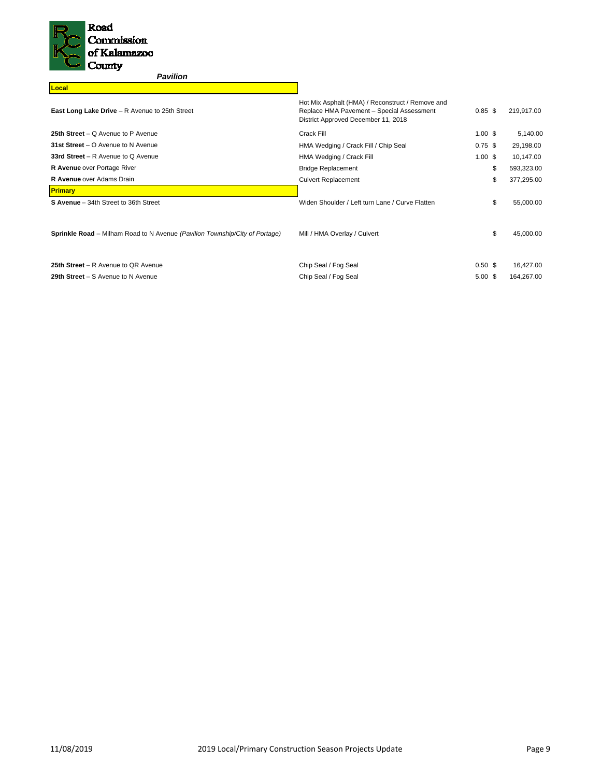

**Local**

# *Pavilion*

| <b>East Long Lake Drive</b> – R Avenue to 25th Street                              | Hot Mix Asphalt (HMA) / Reconstruct / Remove and<br>Replace HMA Pavement - Special Assessment<br>District Approved December 11, 2018 | $0.85$ \$          | 219,917.00 |
|------------------------------------------------------------------------------------|--------------------------------------------------------------------------------------------------------------------------------------|--------------------|------------|
| 25th Street – Q Avenue to P Avenue                                                 | Crack Fill                                                                                                                           | $1.00 \text{ }$ \$ | 5,140.00   |
| 31st Street $-$ O Avenue to N Avenue                                               | HMA Wedging / Crack Fill / Chip Seal                                                                                                 | $0.75$ \$          | 29,198.00  |
| 33rd Street $- R$ Avenue to Q Avenue                                               | HMA Wedging / Crack Fill                                                                                                             | $1.00 \text{ }$ \$ | 10,147.00  |
| R Avenue over Portage River                                                        | <b>Bridge Replacement</b>                                                                                                            | \$                 | 593,323.00 |
| <b>R Avenue</b> over Adams Drain                                                   | <b>Culvert Replacement</b>                                                                                                           | \$                 | 377,295.00 |
| <b>Primary</b>                                                                     |                                                                                                                                      |                    |            |
| S Avenue - 34th Street to 36th Street                                              | Widen Shoulder / Left turn Lane / Curve Flatten                                                                                      | \$                 | 55,000.00  |
| <b>Sprinkle Road</b> – Milham Road to N Avenue (Pavilion Township/City of Portage) | Mill / HMA Overlay / Culvert                                                                                                         | \$                 | 45,000.00  |
| 25th Street - R Avenue to QR Avenue                                                | Chip Seal / Fog Seal                                                                                                                 | 0.50 <sup>5</sup>  | 16.427.00  |

**29th Street - S** Avenue to N Avenue **Chip Seal / Fog Seal / Fog Seal 6.00 \$** 164,267.00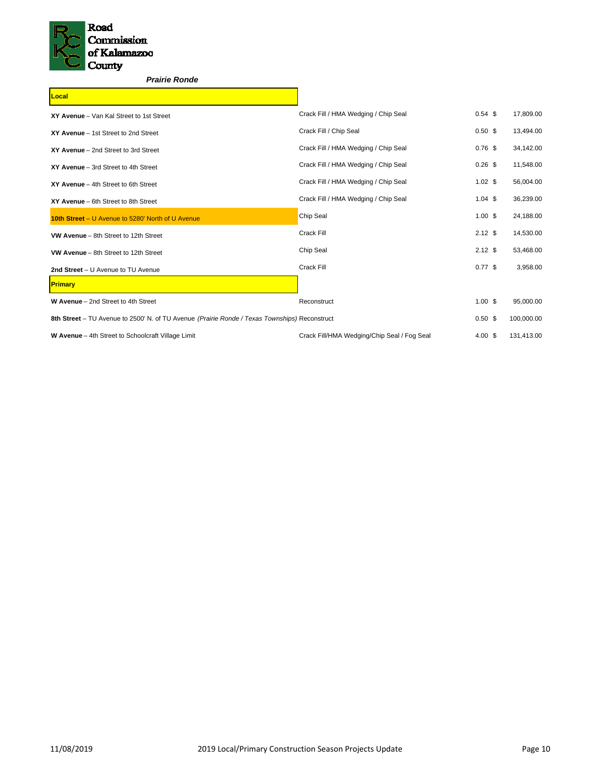

# *Prairie Ronde*

| Local                                                                                         |                                             |                    |            |
|-----------------------------------------------------------------------------------------------|---------------------------------------------|--------------------|------------|
| XY Avenue - Van Kal Street to 1st Street                                                      | Crack Fill / HMA Wedging / Chip Seal        | $0.54$ \$          | 17,809.00  |
| XY Avenue - 1st Street to 2nd Street                                                          | Crack Fill / Chip Seal                      | 0.50 <sup>5</sup>  | 13,494.00  |
| XY Avenue - 2nd Street to 3rd Street                                                          | Crack Fill / HMA Wedging / Chip Seal        | $0.76$ \$          | 34,142.00  |
| XY Avenue - 3rd Street to 4th Street                                                          | Crack Fill / HMA Wedging / Chip Seal        | $0.26$ \$          | 11,548.00  |
| XY Avenue - 4th Street to 6th Street                                                          | Crack Fill / HMA Wedging / Chip Seal        | $1.02$ \$          | 56,004.00  |
| XY Avenue - 6th Street to 8th Street                                                          | Crack Fill / HMA Wedging / Chip Seal        | $1.04$ \$          | 36,239.00  |
| 10th Street - U Avenue to 5280' North of U Avenue                                             | Chip Seal                                   | $1.00$ \$          | 24,188.00  |
| VW Avenue - 8th Street to 12th Street                                                         | Crack Fill                                  | $2.12$ \$          | 14,530.00  |
| VW Avenue - 8th Street to 12th Street                                                         | Chip Seal                                   | $2.12$ \$          | 53,468.00  |
| 2nd Street - U Avenue to TU Avenue                                                            | Crack Fill                                  | $0.77$ \$          | 3,958.00   |
| <b>Primary</b>                                                                                |                                             |                    |            |
| W Avenue - 2nd Street to 4th Street                                                           | Reconstruct                                 | $1.00$ \$          | 95,000.00  |
| 8th Street - TU Avenue to 2500' N. of TU Avenue (Prairie Ronde / Texas Townships) Reconstruct |                                             | 0.50 <sup>5</sup>  | 100,000.00 |
| W Avenue - 4th Street to Schoolcraft Village Limit                                            | Crack Fill/HMA Wedging/Chip Seal / Fog Seal | $4.00 \text{ }$ \$ | 131,413.00 |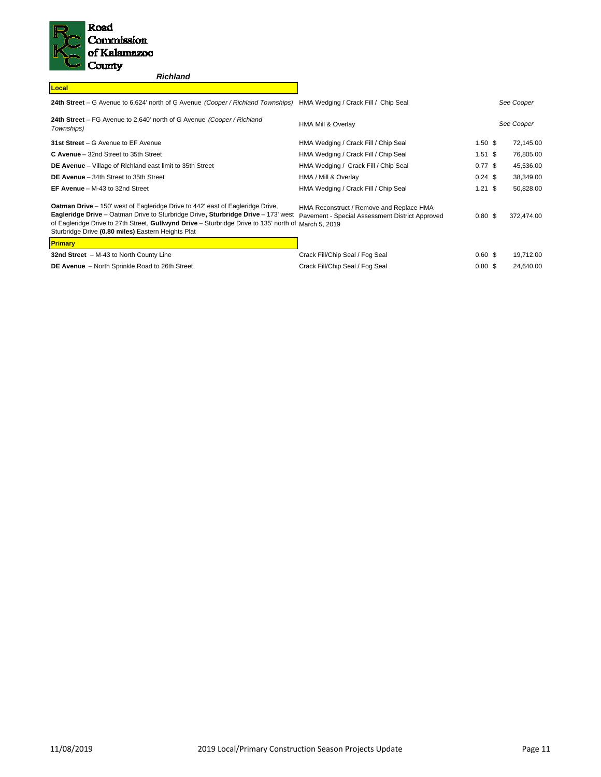

*Richland*

| Local                                                                                                                                                                                                                                                                                                                                    |                                                                                             |                   |            |
|------------------------------------------------------------------------------------------------------------------------------------------------------------------------------------------------------------------------------------------------------------------------------------------------------------------------------------------|---------------------------------------------------------------------------------------------|-------------------|------------|
| 24th Street – G Avenue to 6,624' north of G Avenue (Cooper / Richland Townships)                                                                                                                                                                                                                                                         | HMA Wedging / Crack Fill / Chip Seal                                                        |                   | See Cooper |
| 24th Street – FG Avenue to 2,640' north of G Avenue (Cooper / Richland<br>Townships)                                                                                                                                                                                                                                                     | <b>HMA Mill &amp; Overlay</b>                                                               |                   | See Cooper |
| 31st Street - G Avenue to EF Avenue                                                                                                                                                                                                                                                                                                      | HMA Wedging / Crack Fill / Chip Seal                                                        | 1.50 <sup>5</sup> | 72,145.00  |
| C Avenue - 32nd Street to 35th Street                                                                                                                                                                                                                                                                                                    | HMA Wedging / Crack Fill / Chip Seal                                                        | $1.51$ \$         | 76,805.00  |
| <b>DE Avenue</b> – Village of Richland east limit to 35th Street                                                                                                                                                                                                                                                                         | HMA Wedging / Crack Fill / Chip Seal                                                        | $0.77$ \$         | 45,536.00  |
| DE Avenue - 34th Street to 35th Street                                                                                                                                                                                                                                                                                                   | HMA / Mill & Overlay                                                                        | $0.24$ \$         | 38,349.00  |
| EF Avenue $-$ M-43 to 32nd Street                                                                                                                                                                                                                                                                                                        | HMA Wedging / Crack Fill / Chip Seal                                                        | $1.21$ \$         | 50,828.00  |
| <b>Oatman Drive</b> – 150' west of Eagleridge Drive to 442' east of Eagleridge Drive,<br>Eagleridge Drive - Oatman Drive to Sturbridge Drive, Sturbridge Drive - 173' west<br>of Eagleridge Drive to 27th Street, Gullwynd Drive - Sturbridge Drive to 135' north of March 5, 2019<br>Sturbridge Drive (0.80 miles) Eastern Heights Plat | HMA Reconstruct / Remove and Replace HMA<br>Pavement - Special Assessment District Approved | 0.80 <sup>5</sup> | 372.474.00 |
| <b>Primary</b>                                                                                                                                                                                                                                                                                                                           |                                                                                             |                   |            |

| <u>ігнінагу</u>                                       |                                 |                    |           |
|-------------------------------------------------------|---------------------------------|--------------------|-----------|
| 32nd Street - M-43 to North County Line               | Crack Fill/Chip Seal / Fog Seal | $0.60 \text{ }$ \$ | 19.712.00 |
| <b>DE Avenue</b> - North Sprinkle Road to 26th Street | Crack Fill/Chip Seal / Fog Seal | $0.80 \text{ }$ \$ | 24.640.00 |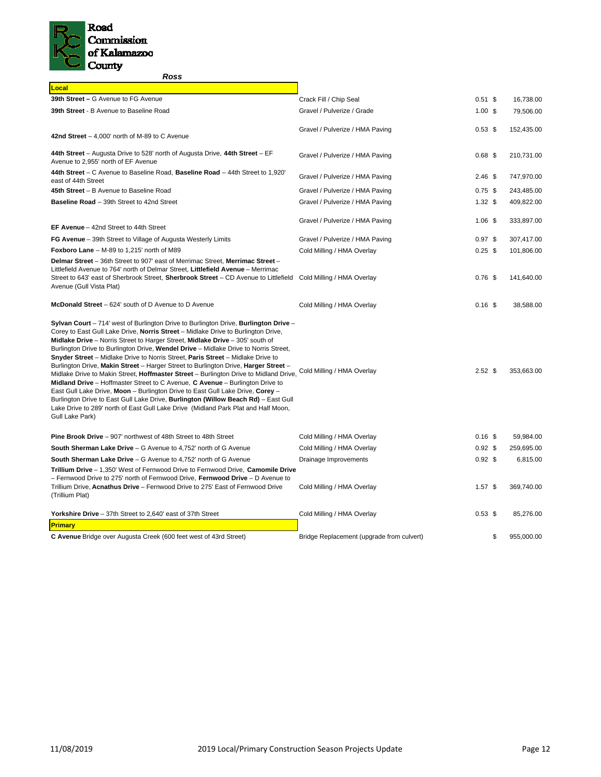

*Ross* 

| Local                                                                                                                                                                                                                                                                                                                                                                                                                                                                                                                                                                                                                                                                                                                                                                                                                                                                                                                                                                                          |                                           |                   |                  |
|------------------------------------------------------------------------------------------------------------------------------------------------------------------------------------------------------------------------------------------------------------------------------------------------------------------------------------------------------------------------------------------------------------------------------------------------------------------------------------------------------------------------------------------------------------------------------------------------------------------------------------------------------------------------------------------------------------------------------------------------------------------------------------------------------------------------------------------------------------------------------------------------------------------------------------------------------------------------------------------------|-------------------------------------------|-------------------|------------------|
| 39th Street - G Avenue to FG Avenue                                                                                                                                                                                                                                                                                                                                                                                                                                                                                                                                                                                                                                                                                                                                                                                                                                                                                                                                                            | Crack Fill / Chip Seal                    | $0.51$ \$         | 16,738.00        |
| 39th Street - B Avenue to Baseline Road                                                                                                                                                                                                                                                                                                                                                                                                                                                                                                                                                                                                                                                                                                                                                                                                                                                                                                                                                        | Gravel / Pulverize / Grade                | 1.00S             | 79,506.00        |
|                                                                                                                                                                                                                                                                                                                                                                                                                                                                                                                                                                                                                                                                                                                                                                                                                                                                                                                                                                                                | Gravel / Pulverize / HMA Paving           | $0.53$ \$         | 152,435.00       |
| 42nd Street $-4,000$ ' north of M-89 to C Avenue                                                                                                                                                                                                                                                                                                                                                                                                                                                                                                                                                                                                                                                                                                                                                                                                                                                                                                                                               |                                           |                   |                  |
| 44th Street - Augusta Drive to 528' north of Augusta Drive, 44th Street - EF<br>Avenue to 2,955' north of EF Avenue                                                                                                                                                                                                                                                                                                                                                                                                                                                                                                                                                                                                                                                                                                                                                                                                                                                                            | Gravel / Pulverize / HMA Paving           | $0.68$ \$         | 210,731.00       |
| 44th Street – C Avenue to Baseline Road, Baseline Road – 44th Street to 1,920'<br>east of 44th Street                                                                                                                                                                                                                                                                                                                                                                                                                                                                                                                                                                                                                                                                                                                                                                                                                                                                                          | Gravel / Pulverize / HMA Paving           | $2.46$ \$         | 747,970.00       |
| 45th Street - B Avenue to Baseline Road                                                                                                                                                                                                                                                                                                                                                                                                                                                                                                                                                                                                                                                                                                                                                                                                                                                                                                                                                        | Gravel / Pulverize / HMA Paving           | $0.75$ \$         | 243,485.00       |
| Baseline Road - 39th Street to 42nd Street                                                                                                                                                                                                                                                                                                                                                                                                                                                                                                                                                                                                                                                                                                                                                                                                                                                                                                                                                     | Gravel / Pulverize / HMA Paving           | $1.32$ \$         | 409,822.00       |
| EF Avenue - 42nd Street to 44th Street                                                                                                                                                                                                                                                                                                                                                                                                                                                                                                                                                                                                                                                                                                                                                                                                                                                                                                                                                         | Gravel / Pulverize / HMA Paving           | $1.06$ \$         | 333,897.00       |
| FG Avenue - 39th Street to Village of Augusta Westerly Limits                                                                                                                                                                                                                                                                                                                                                                                                                                                                                                                                                                                                                                                                                                                                                                                                                                                                                                                                  | Gravel / Pulverize / HMA Paving           | $0.97$ \$         | 307,417.00       |
| Foxboro Lane - M-89 to 1,215' north of M89                                                                                                                                                                                                                                                                                                                                                                                                                                                                                                                                                                                                                                                                                                                                                                                                                                                                                                                                                     | Cold Milling / HMA Overlay                | $0.25$ \$         | 101,806.00       |
| Delmar Street - 36th Street to 907' east of Merrimac Street, Merrimac Street -<br>Littlefield Avenue to 764' north of Delmar Street, Littlefield Avenue - Merrimac<br>Street to 643' east of Sherbrook Street, Sherbrook Street - CD Avenue to Littlefield Cold Milling / HMA Overlay<br>Avenue (Gull Vista Plat)                                                                                                                                                                                                                                                                                                                                                                                                                                                                                                                                                                                                                                                                              |                                           | 0.76 <sup>5</sup> | 141,640.00       |
| McDonald Street - 624' south of D Avenue to D Avenue                                                                                                                                                                                                                                                                                                                                                                                                                                                                                                                                                                                                                                                                                                                                                                                                                                                                                                                                           | Cold Milling / HMA Overlay                | $0.16$ \$         | 38,588.00        |
| Sylvan Court – 714' west of Burlington Drive to Burlington Drive, Burlington Drive –<br>Corey to East Gull Lake Drive, Norris Street - Midlake Drive to Burlington Drive,<br>Midlake Drive - Norris Street to Harger Street, Midlake Drive - 305' south of<br>Burlington Drive to Burlington Drive, Wendel Drive - Midlake Drive to Norris Street,<br>Snyder Street - Midlake Drive to Norris Street, Paris Street - Midlake Drive to<br>Burlington Drive, Makin Street - Harger Street to Burlington Drive, Harger Street -<br>Midlake Drive to Makin Street, <b>Hoffmaster Street</b> - Burlington Drive to Midland Drive,<br>Midland Drive – Hoffmaster Street to C Avenue, C Avenue – Burlington Drive to<br>East Gull Lake Drive, Moon - Burlington Drive to East Gull Lake Drive, Corey -<br>Burlington Drive to East Gull Lake Drive, Burlington (Willow Beach Rd) - East Gull<br>Lake Drive to 289' north of East Gull Lake Drive (Midland Park Plat and Half Moon,<br>Gull Lake Park) | Cold Milling / HMA Overlay                | $2.52$ \$         | 353,663.00       |
| Pine Brook Drive - 907' northwest of 48th Street to 48th Street                                                                                                                                                                                                                                                                                                                                                                                                                                                                                                                                                                                                                                                                                                                                                                                                                                                                                                                                | Cold Milling / HMA Overlay                | $0.16$ \$         | 59,984.00        |
| <b>South Sherman Lake Drive</b> - G Avenue to 4,752' north of G Avenue                                                                                                                                                                                                                                                                                                                                                                                                                                                                                                                                                                                                                                                                                                                                                                                                                                                                                                                         | Cold Milling / HMA Overlay                | $0.92$ \$         | 259,695.00       |
| South Sherman Lake Drive - G Avenue to 4,752' north of G Avenue                                                                                                                                                                                                                                                                                                                                                                                                                                                                                                                                                                                                                                                                                                                                                                                                                                                                                                                                | Drainage Improvements                     | $0.92$ \$         | 6,815.00         |
| Trillium Drive - 1,350' West of Fernwood Drive to Fernwood Drive, Camomile Drive<br>- Fernwood Drive to 275' north of Fernwood Drive, Fernwood Drive - D Avenue to<br>Trillium Drive. Acnathus Drive - Fernwood Drive to 275' East of Fernwood Drive<br>(Trillium Plat)                                                                                                                                                                                                                                                                                                                                                                                                                                                                                                                                                                                                                                                                                                                        | Cold Milling / HMA Overlay                | $1.57$ \$         | 369,740.00       |
| <b>Yorkshire Drive</b> - 37th Street to 2,640' east of 37th Street                                                                                                                                                                                                                                                                                                                                                                                                                                                                                                                                                                                                                                                                                                                                                                                                                                                                                                                             | Cold Milling / HMA Overlay                | $0.53$ \$         | 85,276.00        |
| <b>Primary</b>                                                                                                                                                                                                                                                                                                                                                                                                                                                                                                                                                                                                                                                                                                                                                                                                                                                                                                                                                                                 |                                           |                   |                  |
| C Avenue Bridge over Augusta Creek (600 feet west of 43rd Street)                                                                                                                                                                                                                                                                                                                                                                                                                                                                                                                                                                                                                                                                                                                                                                                                                                                                                                                              | Bridge Replacement (upgrade from culvert) |                   | \$<br>955,000.00 |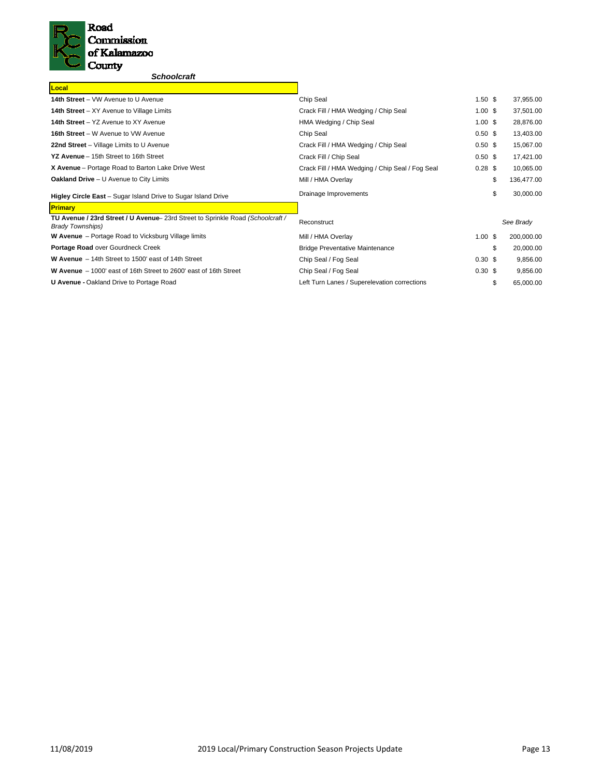

# *Schoolcraft*

| Local                                                                                                      |                                                 |                    |                  |
|------------------------------------------------------------------------------------------------------------|-------------------------------------------------|--------------------|------------------|
| 14th Street - VW Avenue to U Avenue                                                                        | Chip Seal                                       | 1.50 <sup>5</sup>  | 37,955.00        |
| <b>14th Street</b> – XY Avenue to Village Limits                                                           | Crack Fill / HMA Wedging / Chip Seal            | $1.00 \text{ }$ \$ | 37,501.00        |
| 14th Street - YZ Avenue to XY Avenue                                                                       | HMA Wedging / Chip Seal                         | $1.00 \text{ }$ \$ | 28,876.00        |
| 16th Street - W Avenue to VW Avenue                                                                        | Chip Seal                                       | 0.50 <sup>5</sup>  | 13,403.00        |
| 22nd Street - Village Limits to U Avenue                                                                   | Crack Fill / HMA Wedging / Chip Seal            | 0.50 <sup>5</sup>  | 15,067.00        |
| YZ Avenue - 15th Street to 16th Street                                                                     | Crack Fill / Chip Seal                          | 0.50 <sup>5</sup>  | 17,421.00        |
| X Avenue - Portage Road to Barton Lake Drive West                                                          | Crack Fill / HMA Wedging / Chip Seal / Fog Seal | $0.28$ \$          | 10,065.00        |
| <b>Oakland Drive</b> - U Avenue to City Limits                                                             | Mill / HMA Overlay                              |                    | \$<br>136,477.00 |
| Higley Circle East - Sugar Island Drive to Sugar Island Drive                                              | Drainage Improvements                           |                    | \$<br>30,000.00  |
| <b>Primary</b>                                                                                             |                                                 |                    |                  |
| TU Avenue / 23rd Street / U Avenue- 23rd Street to Sprinkle Road (Schoolcraft /<br><b>Brady Townships)</b> | Reconstruct                                     |                    | See Brady        |
| <b>W Avenue</b> – Portage Road to Vicksburg Village limits                                                 | Mill / HMA Overlay                              | $1.00$ \$          | 200,000.00       |
| Portage Road over Gourdneck Creek                                                                          | <b>Bridge Preventative Maintenance</b>          |                    | \$<br>20,000.00  |
| W Avenue - 14th Street to 1500' east of 14th Street                                                        | Chip Seal / Fog Seal                            | $0.30 \text{ }$ \$ | 9,856.00         |
| W Avenue - 1000' east of 16th Street to 2600' east of 16th Street                                          | Chip Seal / Fog Seal                            | $0.30 \text{ }$ \$ | 9,856.00         |
| <b>U Avenue - Oakland Drive to Portage Road</b>                                                            | Left Turn Lanes / Superelevation corrections    |                    | \$<br>65,000.00  |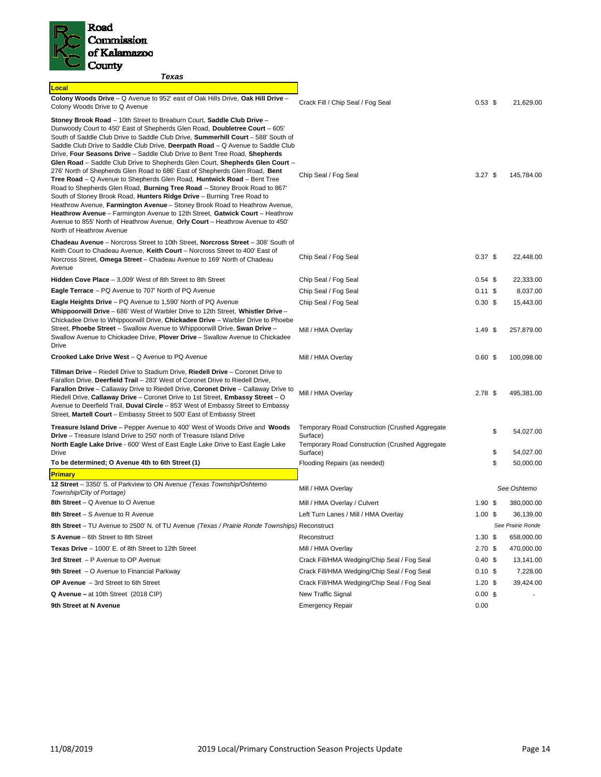

| Texas                                                                                                                                                                                                                                                                                                                                                                                                                                                                                                                                                                                                                                                                                                                                                                                                                                                                                                                                                                                                                                                                                    |                                                                                                                     |                                |                         |
|------------------------------------------------------------------------------------------------------------------------------------------------------------------------------------------------------------------------------------------------------------------------------------------------------------------------------------------------------------------------------------------------------------------------------------------------------------------------------------------------------------------------------------------------------------------------------------------------------------------------------------------------------------------------------------------------------------------------------------------------------------------------------------------------------------------------------------------------------------------------------------------------------------------------------------------------------------------------------------------------------------------------------------------------------------------------------------------|---------------------------------------------------------------------------------------------------------------------|--------------------------------|-------------------------|
| Local                                                                                                                                                                                                                                                                                                                                                                                                                                                                                                                                                                                                                                                                                                                                                                                                                                                                                                                                                                                                                                                                                    |                                                                                                                     |                                |                         |
| Colony Woods Drive - Q Avenue to 952' east of Oak Hills Drive, Oak Hill Drive -<br>Colony Woods Drive to Q Avenue                                                                                                                                                                                                                                                                                                                                                                                                                                                                                                                                                                                                                                                                                                                                                                                                                                                                                                                                                                        | Crack Fill / Chip Seal / Fog Seal                                                                                   | $0.53$ \$                      | 21,629.00               |
| Stoney Brook Road - 10th Street to Breaburn Court, Saddle Club Drive -<br>Dunwoody Court to 450' East of Shepherds Glen Road, Doubletree Court - 605'<br>South of Saddle Club Drive to Saddle Club Drive, Summerhill Court - 588' South of<br>Saddle Club Drive to Saddle Club Drive, Deerpath Road – Q Avenue to Saddle Club<br>Drive, Four Seasons Drive - Saddle Club Drive to Bent Tree Road, Shepherds<br>Glen Road – Saddle Club Drive to Shepherds Glen Court, Shepherds Glen Court –<br>276' North of Shepherds Glen Road to 686' East of Shepherds Glen Road, Bent<br>Tree Road - Q Avenue to Shepherds Glen Road, Huntwick Road - Bent Tree<br>Road to Shepherds Glen Road, Burning Tree Road - Stoney Brook Road to 867'<br>South of Stoney Brook Road, Hunters Ridge Drive - Burning Tree Road to<br>Heathrow Avenue, Farmington Avenue - Stoney Brook Road to Heathrow Avenue,<br>Heathrow Avenue - Farmington Avenue to 12th Street, Gatwick Court - Heathrow<br>Avenue to 855' North of Heathrow Avenue, Orly Court - Heathrow Avenue to 450'<br>North of Heathrow Avenue | Chip Seal / Fog Seal                                                                                                | $3.27$ \$                      | 145,784.00              |
| <b>Chadeau Avenue</b> - Norcross Street to 10th Street, <b>Norcross Street</b> - 308' South of<br>Keith Court to Chadeau Avenue, Keith Court - Norcross Street to 400' East of<br>Norcross Street, Omega Street - Chadeau Avenue to 169' North of Chadeau<br>Avenue                                                                                                                                                                                                                                                                                                                                                                                                                                                                                                                                                                                                                                                                                                                                                                                                                      | Chip Seal / Fog Seal                                                                                                | $0.37$ \$                      | 22,448.00               |
| Hidden Cove Place - 3,009' West of 8th Street to 8th Street                                                                                                                                                                                                                                                                                                                                                                                                                                                                                                                                                                                                                                                                                                                                                                                                                                                                                                                                                                                                                              | Chip Seal / Fog Seal                                                                                                | $0.54$ \$                      | 22,333.00               |
| Eagle Terrace - PQ Avenue to 707' North of PQ Avenue                                                                                                                                                                                                                                                                                                                                                                                                                                                                                                                                                                                                                                                                                                                                                                                                                                                                                                                                                                                                                                     | Chip Seal / Fog Seal                                                                                                | 0.11S                          | 8,037.00                |
| <b>Eagle Heights Drive</b> – PQ Avenue to 1,590' North of PQ Avenue<br>Whippoorwill Drive - 686' West of Warbler Drive to 12th Street, Whistler Drive -<br>Chickadee Drive to Whippoorwill Drive, Chickadee Drive - Warbler Drive to Phoebe<br>Street, Phoebe Street - Swallow Avenue to Whippoorwill Drive, Swan Drive -                                                                                                                                                                                                                                                                                                                                                                                                                                                                                                                                                                                                                                                                                                                                                                | Chip Seal / Fog Seal<br>Mill / HMA Overlay                                                                          | 0.30 <sup>5</sup><br>$1.49$ \$ | 15,443.00<br>257,879.00 |
| Swallow Avenue to Chickadee Drive, Plover Drive - Swallow Avenue to Chickadee<br>Drive                                                                                                                                                                                                                                                                                                                                                                                                                                                                                                                                                                                                                                                                                                                                                                                                                                                                                                                                                                                                   |                                                                                                                     |                                |                         |
| Crooked Lake Drive West - Q Avenue to PQ Avenue                                                                                                                                                                                                                                                                                                                                                                                                                                                                                                                                                                                                                                                                                                                                                                                                                                                                                                                                                                                                                                          | Mill / HMA Overlay                                                                                                  | 0.60~\$                        | 100,098.00              |
| <b>Tillman Drive</b> – Riedell Drive to Stadium Drive, Riedell Drive – Coronet Drive to<br>Farallon Drive, Deerfield Trail - 283' West of Coronet Drive to Riedell Drive,<br><b>Farallon Drive</b> – Callaway Drive to Riedell Drive, <b>Coronet Drive</b> – Callaway Drive to<br>Riedell Drive, Callaway Drive – Coronet Drive to 1st Street, Embassy Street – O<br>Avenue to Deerfield Trail, Duval Circle - 853' West of Embassy Street to Embassy<br>Street, Martell Court - Embassy Street to 500' East of Embassy Street                                                                                                                                                                                                                                                                                                                                                                                                                                                                                                                                                           | Mill / HMA Overlay                                                                                                  | 2.78 <sup>5</sup>              | 495,381.00              |
| <b>Treasure Island Drive</b> – Pepper Avenue to 400' West of Woods Drive and Woods<br><b>Drive</b> – Treasure Island Drive to 250' north of Treasure Island Drive<br>North Eagle Lake Drive - 600' West of East Eagle Lake Drive to East Eagle Lake                                                                                                                                                                                                                                                                                                                                                                                                                                                                                                                                                                                                                                                                                                                                                                                                                                      | <b>Temporary Road Construction (Crushed Aggregate</b><br>Surface)<br>Temporary Road Construction (Crushed Aggregate |                                | \$<br>54,027.00         |
| Drive                                                                                                                                                                                                                                                                                                                                                                                                                                                                                                                                                                                                                                                                                                                                                                                                                                                                                                                                                                                                                                                                                    | Surface)                                                                                                            |                                | \$<br>54,027.00         |
| To be determined; O Avenue 4th to 6th Street (1)                                                                                                                                                                                                                                                                                                                                                                                                                                                                                                                                                                                                                                                                                                                                                                                                                                                                                                                                                                                                                                         | Flooding Repairs (as needed)                                                                                        |                                | \$<br>50,000.00         |
| Primary                                                                                                                                                                                                                                                                                                                                                                                                                                                                                                                                                                                                                                                                                                                                                                                                                                                                                                                                                                                                                                                                                  |                                                                                                                     |                                |                         |
| 12 Street - 3350' S. of Parkview to ON Avenue (Texas Township/Oshtemo<br>Township/City of Portage)                                                                                                                                                                                                                                                                                                                                                                                                                                                                                                                                                                                                                                                                                                                                                                                                                                                                                                                                                                                       | Mill / HMA Overlay                                                                                                  |                                | See Oshtemo             |
| 8th Street – Q Avenue to O Avenue                                                                                                                                                                                                                                                                                                                                                                                                                                                                                                                                                                                                                                                                                                                                                                                                                                                                                                                                                                                                                                                        | Mill / HMA Overlay / Culvert                                                                                        | 1.90S                          | 380,000.00              |
| 8th Street – S Avenue to R Avenue                                                                                                                                                                                                                                                                                                                                                                                                                                                                                                                                                                                                                                                                                                                                                                                                                                                                                                                                                                                                                                                        | Left Turn Lanes / Mill / HMA Overlay                                                                                | $1.00$ \$                      | 36,139.00               |
| 8th Street – TU Avenue to 2500' N. of TU Avenue (Texas / Prairie Ronde Townships) Reconstruct                                                                                                                                                                                                                                                                                                                                                                                                                                                                                                                                                                                                                                                                                                                                                                                                                                                                                                                                                                                            |                                                                                                                     |                                | See Prairie Ronde       |
| S Avenue - 6th Street to 8th Street                                                                                                                                                                                                                                                                                                                                                                                                                                                                                                                                                                                                                                                                                                                                                                                                                                                                                                                                                                                                                                                      | Reconstruct                                                                                                         | $1.30 \text{ }$ \$             | 658,000.00              |
| Texas Drive - 1000' E. of 8th Street to 12th Street                                                                                                                                                                                                                                                                                                                                                                                                                                                                                                                                                                                                                                                                                                                                                                                                                                                                                                                                                                                                                                      | Mill / HMA Overlay                                                                                                  | 2.70 <sup>5</sup>              | 470,000.00              |
| 3rd Street - P Avenue to OP Avenue                                                                                                                                                                                                                                                                                                                                                                                                                                                                                                                                                                                                                                                                                                                                                                                                                                                                                                                                                                                                                                                       | Crack Fill/HMA Wedging/Chip Seal / Fog Seal                                                                         | $0.40~\text{\AA}$              | 13,141.00               |
| 9th Street $-$ O Avenue to Financial Parkway                                                                                                                                                                                                                                                                                                                                                                                                                                                                                                                                                                                                                                                                                                                                                                                                                                                                                                                                                                                                                                             | Crack Fill/HMA Wedging/Chip Seal / Fog Seal                                                                         | $0.10 \text{ }$ \$             | 7,228.00                |
| OP Avenue - 3rd Street to 6th Street                                                                                                                                                                                                                                                                                                                                                                                                                                                                                                                                                                                                                                                                                                                                                                                                                                                                                                                                                                                                                                                     | Crack Fill/HMA Wedging/Chip Seal / Fog Seal                                                                         | $1.20$ \$                      | 39,424.00               |
| Q Avenue - at 10th Street (2018 CIP)                                                                                                                                                                                                                                                                                                                                                                                                                                                                                                                                                                                                                                                                                                                                                                                                                                                                                                                                                                                                                                                     | New Traffic Signal                                                                                                  | $0.00 \text{ }$ \$             |                         |
| 9th Street at N Avenue                                                                                                                                                                                                                                                                                                                                                                                                                                                                                                                                                                                                                                                                                                                                                                                                                                                                                                                                                                                                                                                                   | <b>Emergency Repair</b>                                                                                             | 0.00                           |                         |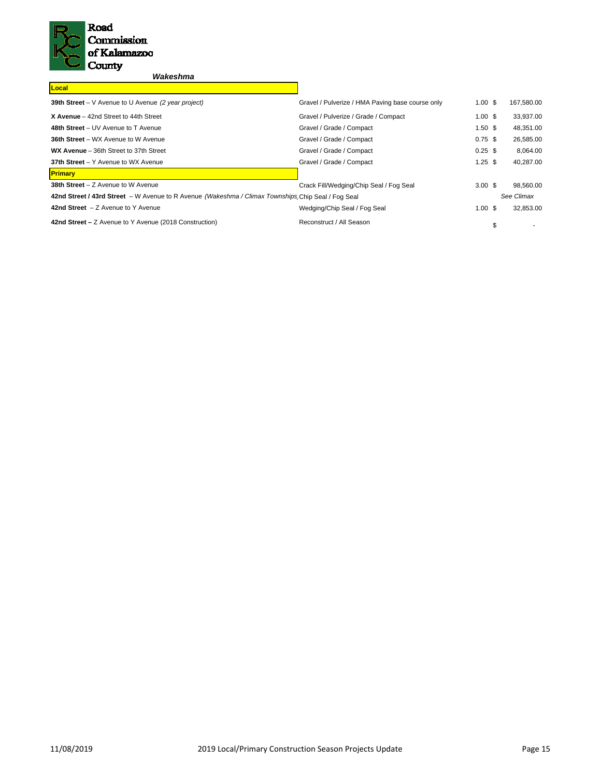

# *Wakeshma*

| Local                                                                                              |                                                  |                    |   |            |
|----------------------------------------------------------------------------------------------------|--------------------------------------------------|--------------------|---|------------|
| 39th Street - V Avenue to U Avenue (2 year project)                                                | Gravel / Pulverize / HMA Paving base course only | $1.00 \text{ }$ \$ |   | 167,580.00 |
| X Avenue - 42nd Street to 44th Street                                                              | Gravel / Pulverize / Grade / Compact             | 1.00S              |   | 33,937.00  |
| 48th Street - UV Avenue to T Avenue                                                                | Gravel / Grade / Compact                         | $1.50$ \$          |   | 48,351.00  |
| <b>36th Street - WX Avenue to W Avenue</b>                                                         | Gravel / Grade / Compact                         | $0.75$ \$          |   | 26,585.00  |
| WX Avenue - 36th Street to 37th Street                                                             | Gravel / Grade / Compact                         | $0.25$ \$          |   | 8.064.00   |
| 37th Street - Y Avenue to WX Avenue                                                                | Gravel / Grade / Compact                         | $1.25$ \$          |   | 40,287.00  |
| <b>Primary</b>                                                                                     |                                                  |                    |   |            |
| 38th Street - Z Avenue to W Avenue                                                                 | Crack Fill/Wedging/Chip Seal / Fog Seal          | 3.00 <sup>5</sup>  |   | 98,560.00  |
| 42nd Street / 43rd Street - W Avenue to R Avenue (Wakeshma / Climax Townships Chip Seal / Fog Seal |                                                  |                    |   | See Climax |
| 42nd Street $-Z$ Avenue to Y Avenue                                                                | Wedging/Chip Seal / Fog Seal                     | 1.00S              |   | 32,853.00  |
| 42nd Street – Z Avenue to Y Avenue (2018 Construction)                                             | Reconstruct / All Season                         |                    | S |            |